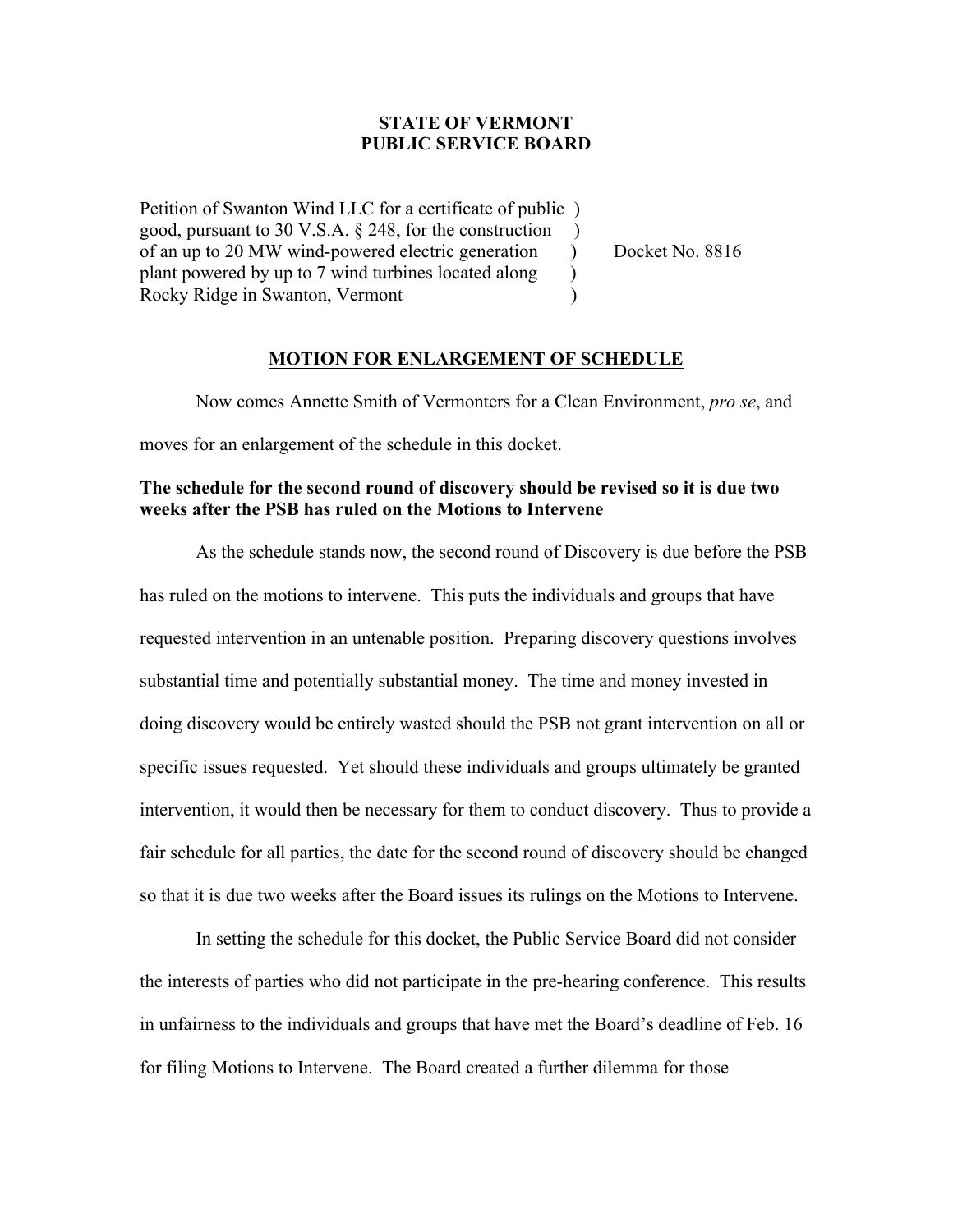## **STATE OF VERMONT PUBLIC SERVICE BOARD**

Petition of Swanton Wind LLC for a certificate of public ) good, pursuant to 30 V.S.A. § 248, for the construction ) of an up to 20 MW wind-powered electric generation ) Docket No. 8816 plant powered by up to 7 wind turbines located along ) Rocky Ridge in Swanton, Vermont

### **MOTION FOR ENLARGEMENT OF SCHEDULE**

Now comes Annette Smith of Vermonters for a Clean Environment, *pro se*, and moves for an enlargement of the schedule in this docket.

# **The schedule for the second round of discovery should be revised so it is due two weeks after the PSB has ruled on the Motions to Intervene**

As the schedule stands now, the second round of Discovery is due before the PSB has ruled on the motions to intervene. This puts the individuals and groups that have requested intervention in an untenable position. Preparing discovery questions involves substantial time and potentially substantial money. The time and money invested in doing discovery would be entirely wasted should the PSB not grant intervention on all or specific issues requested. Yet should these individuals and groups ultimately be granted intervention, it would then be necessary for them to conduct discovery. Thus to provide a fair schedule for all parties, the date for the second round of discovery should be changed so that it is due two weeks after the Board issues its rulings on the Motions to Intervene.

In setting the schedule for this docket, the Public Service Board did not consider the interests of parties who did not participate in the pre-hearing conference. This results in unfairness to the individuals and groups that have met the Board's deadline of Feb. 16 for filing Motions to Intervene. The Board created a further dilemma for those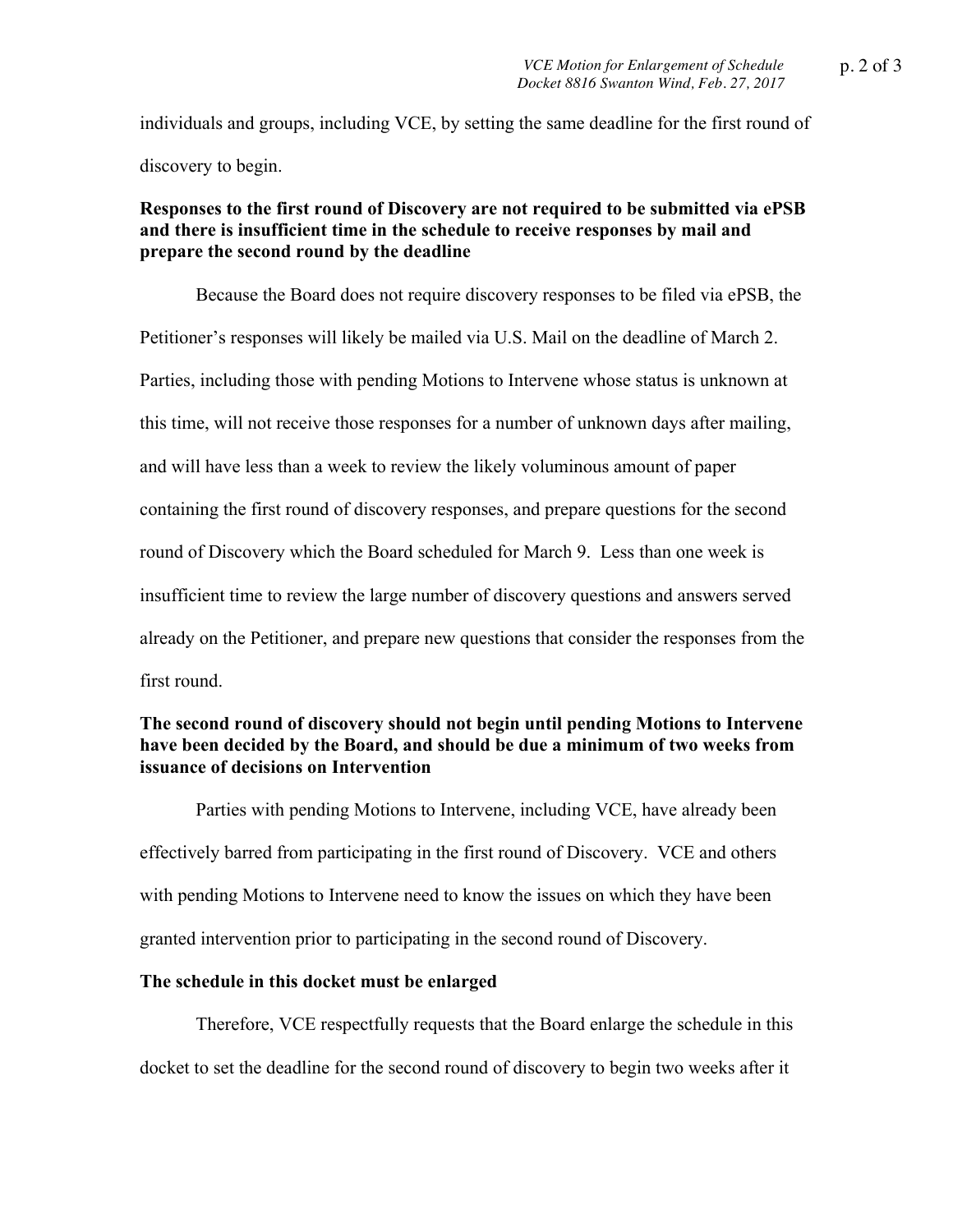individuals and groups, including VCE, by setting the same deadline for the first round of discovery to begin.

## **Responses to the first round of Discovery are not required to be submitted via ePSB and there is insufficient time in the schedule to receive responses by mail and prepare the second round by the deadline**

Because the Board does not require discovery responses to be filed via ePSB, the Petitioner's responses will likely be mailed via U.S. Mail on the deadline of March 2. Parties, including those with pending Motions to Intervene whose status is unknown at this time, will not receive those responses for a number of unknown days after mailing, and will have less than a week to review the likely voluminous amount of paper containing the first round of discovery responses, and prepare questions for the second round of Discovery which the Board scheduled for March 9. Less than one week is insufficient time to review the large number of discovery questions and answers served already on the Petitioner, and prepare new questions that consider the responses from the first round.

# **The second round of discovery should not begin until pending Motions to Intervene have been decided by the Board, and should be due a minimum of two weeks from issuance of decisions on Intervention**

Parties with pending Motions to Intervene, including VCE, have already been effectively barred from participating in the first round of Discovery. VCE and others with pending Motions to Intervene need to know the issues on which they have been granted intervention prior to participating in the second round of Discovery.

#### **The schedule in this docket must be enlarged**

Therefore, VCE respectfully requests that the Board enlarge the schedule in this docket to set the deadline for the second round of discovery to begin two weeks after it